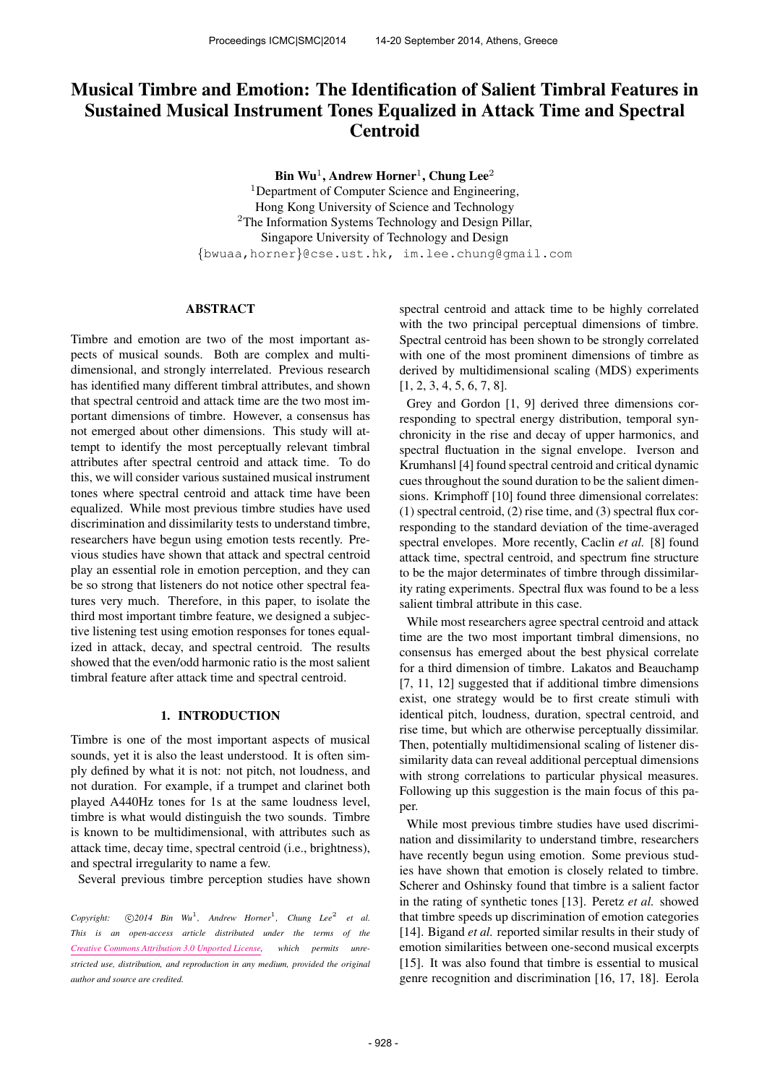# Musical Timbre and Emotion: The Identification of Salient Timbral Features in Sustained Musical Instrument Tones Equalized in Attack Time and Spectral Centroid

Bin Wu<sup>1</sup>, Andrew Horner<sup>1</sup>, Chung Lee<sup>2</sup>

<sup>1</sup>Department of Computer Science and Engineering, Hong Kong University of Science and Technology <sup>2</sup>The Information Systems Technology and Design Pillar, Singapore University of Technology and Design {bwuaa,horner}@cse.ust.hk, im.lee.chung@gmail.com

# ABSTRACT

Timbre and emotion are two of the most important aspects of musical sounds. Both are complex and multidimensional, and strongly interrelated. Previous research has identified many different timbral attributes, and shown that spectral centroid and attack time are the two most important dimensions of timbre. However, a consensus has not emerged about other dimensions. This study will attempt to identify the most perceptually relevant timbral attributes after spectral centroid and attack time. To do this, we will consider various sustained musical instrument tones where spectral centroid and attack time have been equalized. While most previous timbre studies have used discrimination and dissimilarity tests to understand timbre, researchers have begun using emotion tests recently. Previous studies have shown that attack and spectral centroid play an essential role in emotion perception, and they can be so strong that listeners do not notice other spectral features very much. Therefore, in this paper, to isolate the third most important timbre feature, we designed a subjective listening test using emotion responses for tones equalized in attack, decay, and spectral centroid. The results showed that the even/odd harmonic ratio is the most salient timbral feature after attack time and spectral centroid.

# 1. INTRODUCTION

Timbre is one of the most important aspects of musical sounds, yet it is also the least understood. It is often simply defined by what it is not: not pitch, not loudness, and not duration. For example, if a trumpet and clarinet both played A440Hz tones for 1s at the same loudness level, timbre is what would distinguish the two sounds. Timbre is known to be multidimensional, with attributes such as attack time, decay time, spectral centroid (i.e., brightness), and spectral irregularity to name a few.

Several previous timbre perception studies have shown

 $Copyright: \quad \odot 2014 \quad Bin \quad Wu^1, \quad Andrew \quad Horner^1, \quad Chung \quad Lee^2 \quad et \quad al.$ *This is an open-access article distributed under the terms of the [Creative Commons Attribution 3.0 Unported License,](http://creativecommons.org/licenses/by/3.0/) which permits unrestricted use, distribution, and reproduction in any medium, provided the original author and source are credited.*

spectral centroid and attack time to be highly correlated with the two principal perceptual dimensions of timbre. Spectral centroid has been shown to be strongly correlated with one of the most prominent dimensions of timbre as derived by multidimensional scaling (MDS) experiments [1, 2, 3, 4, 5, 6, 7, 8].

Grey and Gordon [1, 9] derived three dimensions corresponding to spectral energy distribution, temporal synchronicity in the rise and decay of upper harmonics, and spectral fluctuation in the signal envelope. Iverson and Krumhansl [4] found spectral centroid and critical dynamic cues throughout the sound duration to be the salient dimensions. Krimphoff [10] found three dimensional correlates: (1) spectral centroid, (2) rise time, and (3) spectral flux corresponding to the standard deviation of the time-averaged spectral envelopes. More recently, Caclin *et al.* [8] found attack time, spectral centroid, and spectrum fine structure to be the major determinates of timbre through dissimilarity rating experiments. Spectral flux was found to be a less salient timbral attribute in this case.

While most researchers agree spectral centroid and attack time are the two most important timbral dimensions, no consensus has emerged about the best physical correlate for a third dimension of timbre. Lakatos and Beauchamp [7, 11, 12] suggested that if additional timbre dimensions exist, one strategy would be to first create stimuli with identical pitch, loudness, duration, spectral centroid, and rise time, but which are otherwise perceptually dissimilar. Then, potentially multidimensional scaling of listener dissimilarity data can reveal additional perceptual dimensions with strong correlations to particular physical measures. Following up this suggestion is the main focus of this paper.

While most previous timbre studies have used discrimination and dissimilarity to understand timbre, researchers have recently begun using emotion. Some previous studies have shown that emotion is closely related to timbre. Scherer and Oshinsky found that timbre is a salient factor in the rating of synthetic tones [13]. Peretz *et al.* showed that timbre speeds up discrimination of emotion categories [14]. Bigand *et al.* reported similar results in their study of emotion similarities between one-second musical excerpts [15]. It was also found that timbre is essential to musical genre recognition and discrimination [16, 17, 18]. Eerola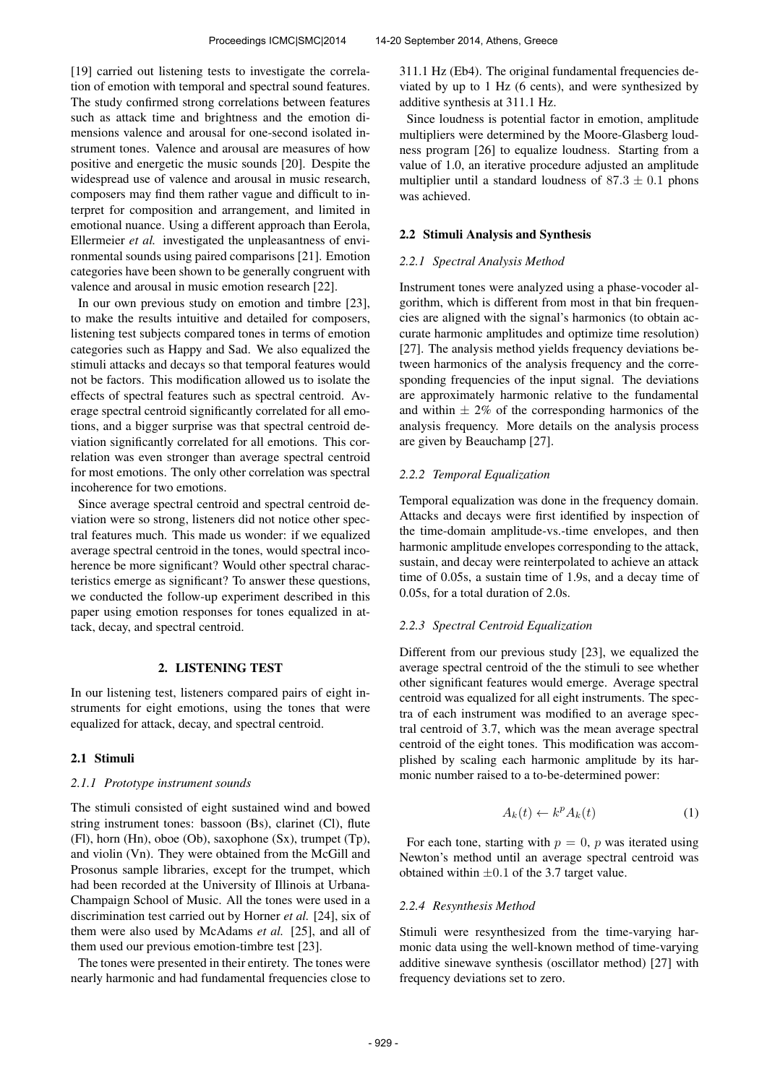[19] carried out listening tests to investigate the correlation of emotion with temporal and spectral sound features. The study confirmed strong correlations between features such as attack time and brightness and the emotion dimensions valence and arousal for one-second isolated instrument tones. Valence and arousal are measures of how positive and energetic the music sounds [20]. Despite the widespread use of valence and arousal in music research, composers may find them rather vague and difficult to interpret for composition and arrangement, and limited in emotional nuance. Using a different approach than Eerola, Ellermeier *et al.* investigated the unpleasantness of environmental sounds using paired comparisons [21]. Emotion categories have been shown to be generally congruent with valence and arousal in music emotion research [22].

In our own previous study on emotion and timbre [23], to make the results intuitive and detailed for composers, listening test subjects compared tones in terms of emotion categories such as Happy and Sad. We also equalized the stimuli attacks and decays so that temporal features would not be factors. This modification allowed us to isolate the effects of spectral features such as spectral centroid. Average spectral centroid significantly correlated for all emotions, and a bigger surprise was that spectral centroid deviation significantly correlated for all emotions. This correlation was even stronger than average spectral centroid for most emotions. The only other correlation was spectral incoherence for two emotions.

Since average spectral centroid and spectral centroid deviation were so strong, listeners did not notice other spectral features much. This made us wonder: if we equalized average spectral centroid in the tones, would spectral incoherence be more significant? Would other spectral characteristics emerge as significant? To answer these questions, we conducted the follow-up experiment described in this paper using emotion responses for tones equalized in attack, decay, and spectral centroid.

#### 2. LISTENING TEST

In our listening test, listeners compared pairs of eight instruments for eight emotions, using the tones that were equalized for attack, decay, and spectral centroid.

#### 2.1 Stimuli

#### *2.1.1 Prototype instrument sounds*

The stimuli consisted of eight sustained wind and bowed string instrument tones: bassoon (Bs), clarinet (Cl), flute (Fl), horn (Hn), oboe (Ob), saxophone (Sx), trumpet (Tp), and violin (Vn). They were obtained from the McGill and Prosonus sample libraries, except for the trumpet, which had been recorded at the University of Illinois at Urbana-Champaign School of Music. All the tones were used in a discrimination test carried out by Horner *et al.* [24], six of them were also used by McAdams *et al.* [25], and all of them used our previous emotion-timbre test [23].

The tones were presented in their entirety. The tones were nearly harmonic and had fundamental frequencies close to 311.1 Hz (Eb4). The original fundamental frequencies deviated by up to 1 Hz (6 cents), and were synthesized by additive synthesis at 311.1 Hz.

Since loudness is potential factor in emotion, amplitude multipliers were determined by the Moore-Glasberg loudness program [26] to equalize loudness. Starting from a value of 1.0, an iterative procedure adjusted an amplitude multiplier until a standard loudness of  $87.3 \pm 0.1$  phons was achieved.

## 2.2 Stimuli Analysis and Synthesis

#### *2.2.1 Spectral Analysis Method*

Instrument tones were analyzed using a phase-vocoder algorithm, which is different from most in that bin frequencies are aligned with the signal's harmonics (to obtain accurate harmonic amplitudes and optimize time resolution) [27]. The analysis method yields frequency deviations between harmonics of the analysis frequency and the corresponding frequencies of the input signal. The deviations are approximately harmonic relative to the fundamental and within  $\pm 2\%$  of the corresponding harmonics of the analysis frequency. More details on the analysis process are given by Beauchamp [27].

### *2.2.2 Temporal Equalization*

Temporal equalization was done in the frequency domain. Attacks and decays were first identified by inspection of the time-domain amplitude-vs.-time envelopes, and then harmonic amplitude envelopes corresponding to the attack, sustain, and decay were reinterpolated to achieve an attack time of 0.05s, a sustain time of 1.9s, and a decay time of 0.05s, for a total duration of 2.0s.

## *2.2.3 Spectral Centroid Equalization*

Different from our previous study [23], we equalized the average spectral centroid of the the stimuli to see whether other significant features would emerge. Average spectral centroid was equalized for all eight instruments. The spectra of each instrument was modified to an average spectral centroid of 3.7, which was the mean average spectral centroid of the eight tones. This modification was accomplished by scaling each harmonic amplitude by its harmonic number raised to a to-be-determined power:

$$
A_k(t) \leftarrow k^p A_k(t) \tag{1}
$$

For each tone, starting with  $p = 0$ , p was iterated using Newton's method until an average spectral centroid was obtained within  $\pm 0.1$  of the 3.7 target value.

#### *2.2.4 Resynthesis Method*

Stimuli were resynthesized from the time-varying harmonic data using the well-known method of time-varying additive sinewave synthesis (oscillator method) [27] with frequency deviations set to zero.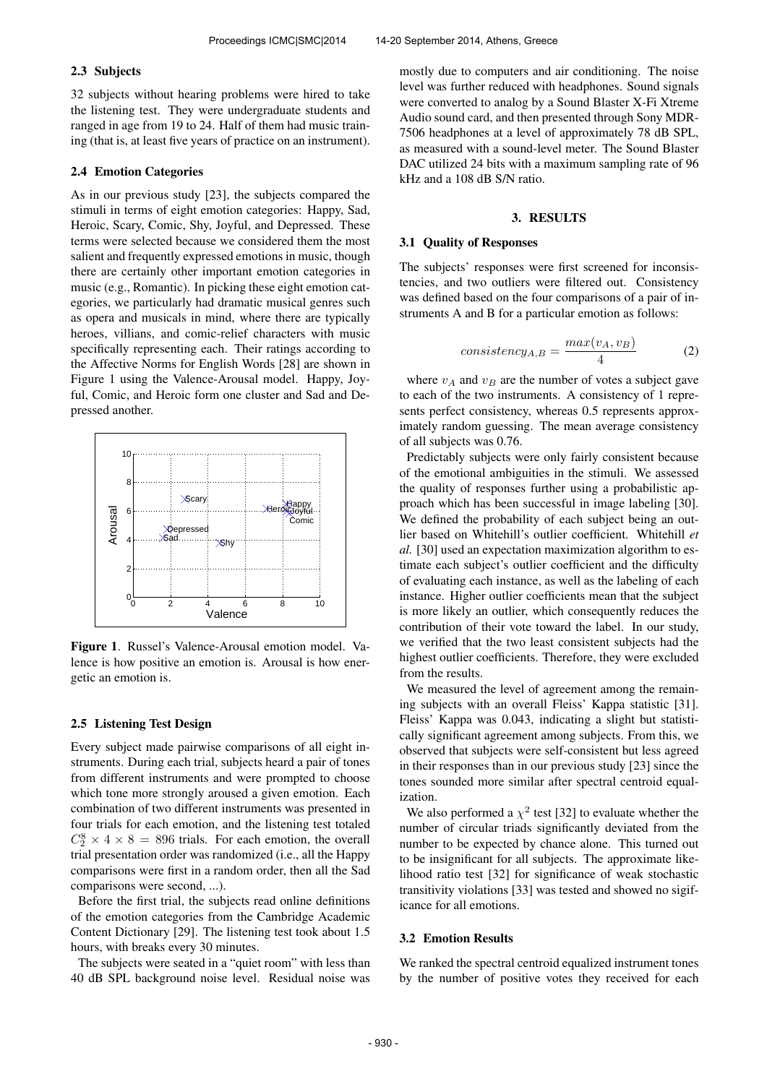## 2.3 Subjects

32 subjects without hearing problems were hired to take the listening test. They were undergraduate students and ranged in age from 19 to 24. Half of them had music training (that is, at least five years of practice on an instrument).

#### 2.4 Emotion Categories

As in our previous study [23], the subjects compared the stimuli in terms of eight emotion categories: Happy, Sad, Heroic, Scary, Comic, Shy, Joyful, and Depressed. These terms were selected because we considered them the most salient and frequently expressed emotions in music, though there are certainly other important emotion categories in music (e.g., Romantic). In picking these eight emotion categories, we particularly had dramatic musical genres such as opera and musicals in mind, where there are typically heroes, villians, and comic-relief characters with music specifically representing each. Their ratings according to the Affective Norms for English Words [28] are shown in Figure 1 using the Valence-Arousal model. Happy, Joyful, Comic, and Heroic form one cluster and Sad and Depressed another.



Figure 1. Russel's Valence-Arousal emotion model. Valence is how positive an emotion is. Arousal is how energetic an emotion is.

## 2.5 Listening Test Design

Every subject made pairwise comparisons of all eight instruments. During each trial, subjects heard a pair of tones from different instruments and were prompted to choose which tone more strongly aroused a given emotion. Each combination of two different instruments was presented in four trials for each emotion, and the listening test totaled  $C_2^8 \times 4 \times 8 = 896$  trials. For each emotion, the overall trial presentation order was randomized (i.e., all the Happy comparisons were first in a random order, then all the Sad comparisons were second, ...).

Before the first trial, the subjects read online definitions of the emotion categories from the Cambridge Academic Content Dictionary [29]. The listening test took about 1.5 hours, with breaks every 30 minutes.

The subjects were seated in a "quiet room" with less than 40 dB SPL background noise level. Residual noise was

mostly due to computers and air conditioning. The noise level was further reduced with headphones. Sound signals were converted to analog by a Sound Blaster X-Fi Xtreme Audio sound card, and then presented through Sony MDR-7506 headphones at a level of approximately 78 dB SPL, as measured with a sound-level meter. The Sound Blaster DAC utilized 24 bits with a maximum sampling rate of 96 kHz and a 108 dB S/N ratio.

# 3. RESULTS

#### 3.1 Quality of Responses

The subjects' responses were first screened for inconsistencies, and two outliers were filtered out. Consistency was defined based on the four comparisons of a pair of instruments A and B for a particular emotion as follows:

$$
consistency_{A,B} = \frac{max(v_A, v_B)}{4} \tag{2}
$$

where  $v_A$  and  $v_B$  are the number of votes a subject gave to each of the two instruments. A consistency of 1 represents perfect consistency, whereas 0.5 represents approximately random guessing. The mean average consistency of all subjects was 0.76.

Predictably subjects were only fairly consistent because of the emotional ambiguities in the stimuli. We assessed the quality of responses further using a probabilistic approach which has been successful in image labeling [30]. We defined the probability of each subject being an outlier based on Whitehill's outlier coefficient. Whitehill *et al.* [30] used an expectation maximization algorithm to estimate each subject's outlier coefficient and the difficulty of evaluating each instance, as well as the labeling of each instance. Higher outlier coefficients mean that the subject is more likely an outlier, which consequently reduces the contribution of their vote toward the label. In our study, we verified that the two least consistent subjects had the highest outlier coefficients. Therefore, they were excluded from the results.

We measured the level of agreement among the remaining subjects with an overall Fleiss' Kappa statistic [31]. Fleiss' Kappa was 0.043, indicating a slight but statistically significant agreement among subjects. From this, we observed that subjects were self-consistent but less agreed in their responses than in our previous study [23] since the tones sounded more similar after spectral centroid equalization.

We also performed a  $\chi^2$  test [32] to evaluate whether the number of circular triads significantly deviated from the number to be expected by chance alone. This turned out to be insignificant for all subjects. The approximate likelihood ratio test [32] for significance of weak stochastic transitivity violations [33] was tested and showed no sigificance for all emotions.

#### 3.2 Emotion Results

We ranked the spectral centroid equalized instrument tones by the number of positive votes they received for each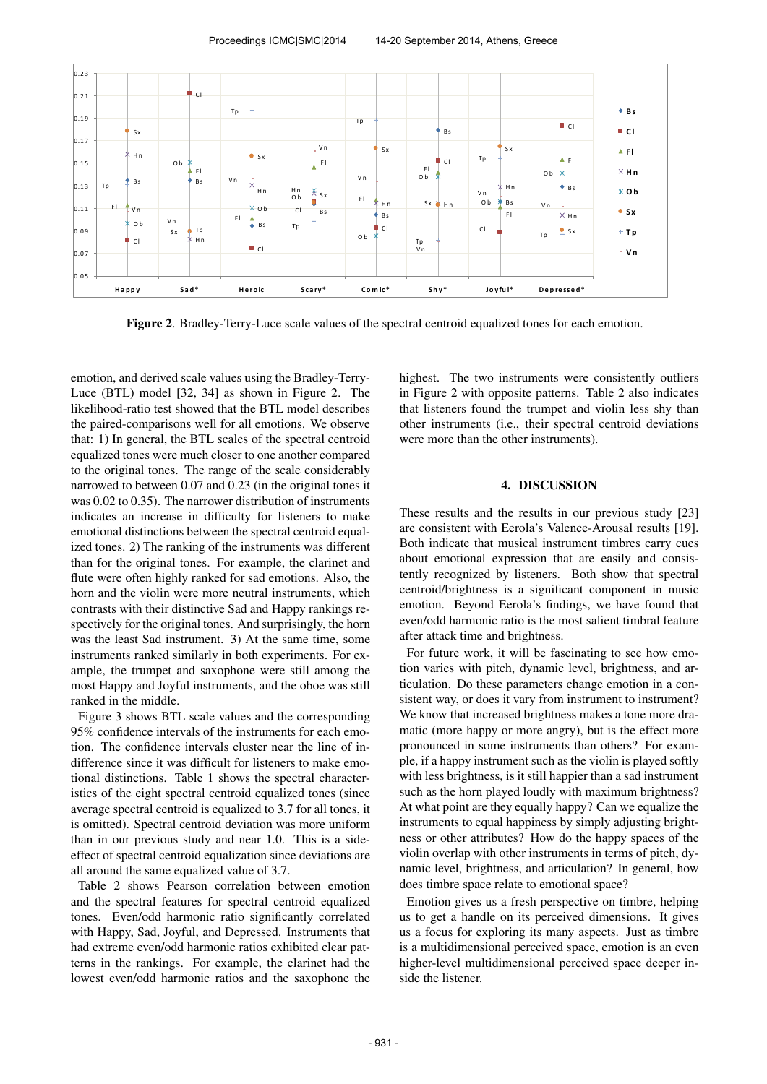Proceedings ICMC|SMC|2014 14-20 September 2014, Athens, Greece



Figure 2. Bradley-Terry-Luce scale values of the spectral centroid equalized tones for each emotion.

emotion, and derived scale values using the Bradley-Terry-Luce (BTL) model [32, 34] as shown in Figure 2. The likelihood-ratio test showed that the BTL model describes the paired-comparisons well for all emotions. We observe that: 1) In general, the BTL scales of the spectral centroid equalized tones were much closer to one another compared to the original tones. The range of the scale considerably narrowed to between 0.07 and 0.23 (in the original tones it was 0.02 to 0.35). The narrower distribution of instruments indicates an increase in difficulty for listeners to make emotional distinctions between the spectral centroid equalized tones. 2) The ranking of the instruments was different than for the original tones. For example, the clarinet and flute were often highly ranked for sad emotions. Also, the horn and the violin were more neutral instruments, which contrasts with their distinctive Sad and Happy rankings respectively for the original tones. And surprisingly, the horn was the least Sad instrument. 3) At the same time, some instruments ranked similarly in both experiments. For example, the trumpet and saxophone were still among the most Happy and Joyful instruments, and the oboe was still ranked in the middle.

Figure 3 shows BTL scale values and the corresponding 95% confidence intervals of the instruments for each emotion. The confidence intervals cluster near the line of indifference since it was difficult for listeners to make emotional distinctions. Table 1 shows the spectral characteristics of the eight spectral centroid equalized tones (since average spectral centroid is equalized to 3.7 for all tones, it is omitted). Spectral centroid deviation was more uniform than in our previous study and near 1.0. This is a sideeffect of spectral centroid equalization since deviations are all around the same equalized value of 3.7.

Table 2 shows Pearson correlation between emotion and the spectral features for spectral centroid equalized tones. Even/odd harmonic ratio significantly correlated with Happy, Sad, Joyful, and Depressed. Instruments that had extreme even/odd harmonic ratios exhibited clear patterns in the rankings. For example, the clarinet had the lowest even/odd harmonic ratios and the saxophone the highest. The two instruments were consistently outliers in Figure 2 with opposite patterns. Table 2 also indicates that listeners found the trumpet and violin less shy than other instruments (i.e., their spectral centroid deviations were more than the other instruments).

# 4. DISCUSSION

These results and the results in our previous study [23] are consistent with Eerola's Valence-Arousal results [19]. Both indicate that musical instrument timbres carry cues about emotional expression that are easily and consistently recognized by listeners. Both show that spectral centroid/brightness is a significant component in music emotion. Beyond Eerola's findings, we have found that even/odd harmonic ratio is the most salient timbral feature after attack time and brightness.

For future work, it will be fascinating to see how emotion varies with pitch, dynamic level, brightness, and articulation. Do these parameters change emotion in a consistent way, or does it vary from instrument to instrument? We know that increased brightness makes a tone more dramatic (more happy or more angry), but is the effect more pronounced in some instruments than others? For example, if a happy instrument such as the violin is played softly with less brightness, is it still happier than a sad instrument such as the horn played loudly with maximum brightness? At what point are they equally happy? Can we equalize the instruments to equal happiness by simply adjusting brightness or other attributes? How do the happy spaces of the violin overlap with other instruments in terms of pitch, dynamic level, brightness, and articulation? In general, how does timbre space relate to emotional space?

Emotion gives us a fresh perspective on timbre, helping us to get a handle on its perceived dimensions. It gives us a focus for exploring its many aspects. Just as timbre is a multidimensional perceived space, emotion is an even higher-level multidimensional perceived space deeper inside the listener.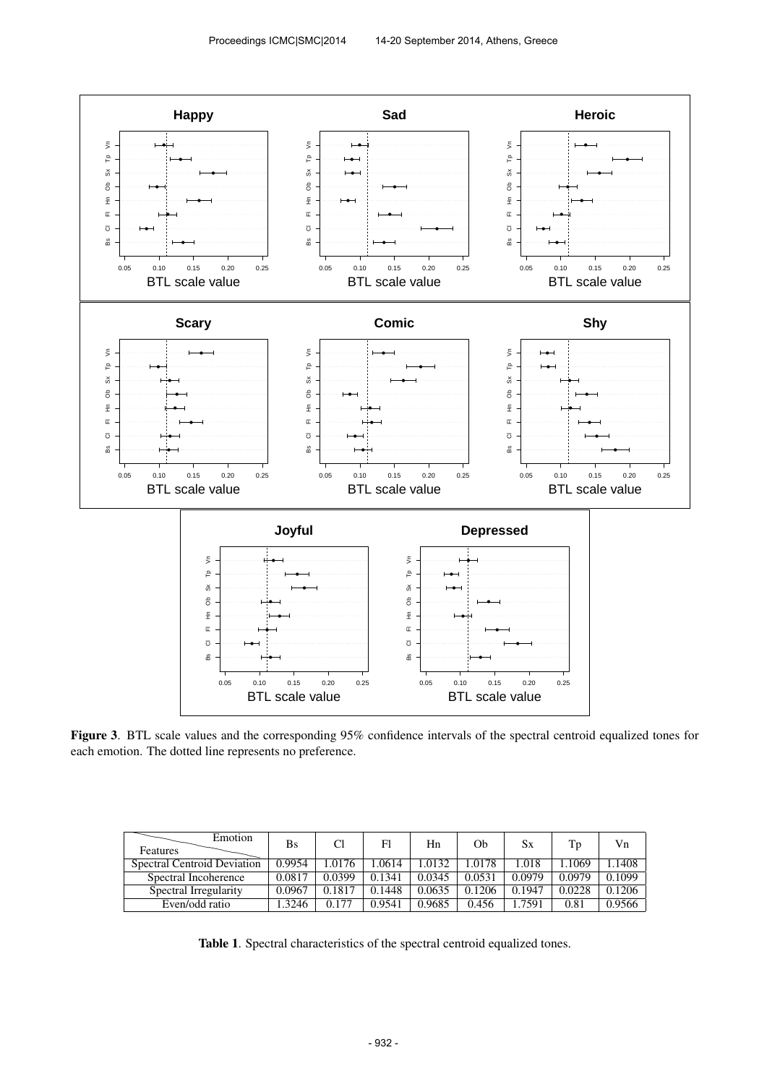

Figure 3. BTL scale values and the corresponding 95% confidence intervals of the spectral centroid equalized tones for each emotion. The dotted line represents no preference.

| Emotion<br><b>Features</b>  | Bs     |        | Fl     | Hn     | Ob     | Sх     | Tp     | Vn     |
|-----------------------------|--------|--------|--------|--------|--------|--------|--------|--------|
| Spectral Centroid Deviation | 0.9954 | 1.0176 | .0614  | 1.0132 | 1.0178 | 1.018  | .1069  | l.1408 |
| Spectral Incoherence        | 0.0817 | 0.0399 | 0.1341 | 0.0345 | 0.0531 | 0.0979 | 0.0979 | 0.1099 |
| Spectral Irregularity       | 0.0967 | 0.1817 | 0.1448 | 0.0635 | 0.1206 | 0.1947 | 0.0228 | 0.1206 |
| Even/odd ratio              | .3246  | 0.177  | 0.9541 | 0.9685 | 0.456  | .7591  | 0.81   | 0.9566 |

Table 1. Spectral characteristics of the spectral centroid equalized tones.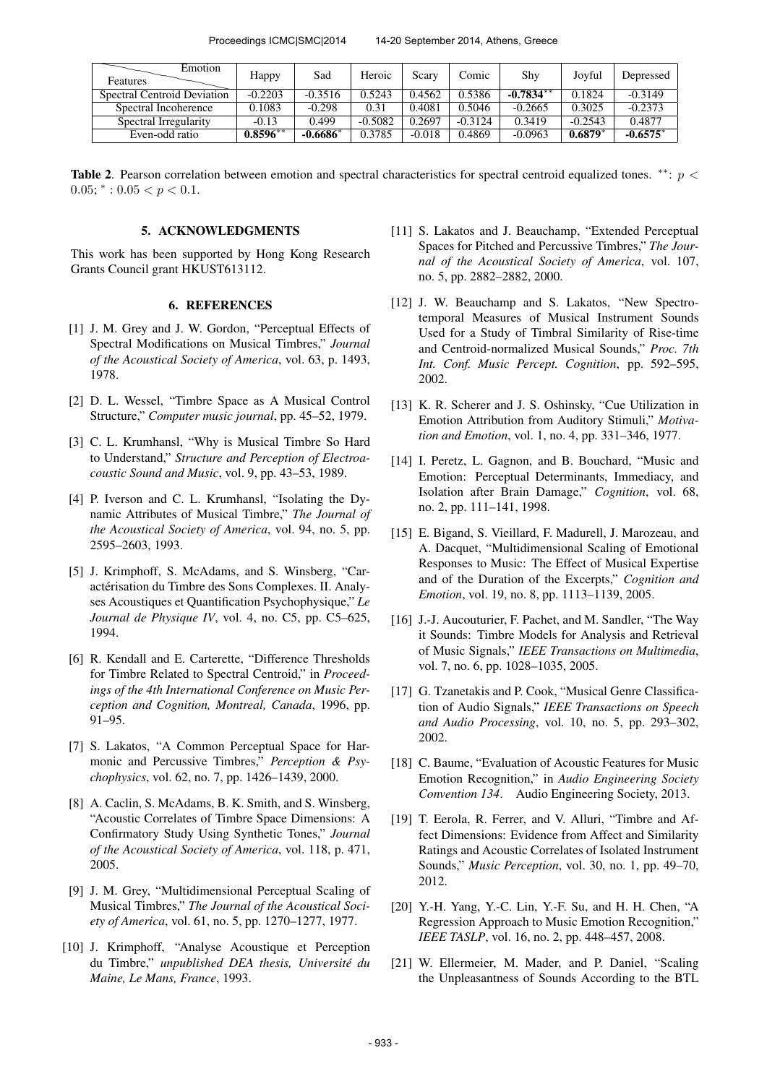Proceedings ICMC|SMC|2014 14-20 September 2014, Athens, Greece

| Emotion<br>Features         | Happy      | Sad        | Heroic    | Scary    | Comic     | Shy         | Joyful    | Depressed  |
|-----------------------------|------------|------------|-----------|----------|-----------|-------------|-----------|------------|
| Spectral Centroid Deviation | $-0.2203$  | $-0.3516$  | 0.5243    | 0.4562   | 0.5386    | $-0.7834**$ | 0.1824    | $-0.3149$  |
| Spectral Incoherence        | 0.1083     | $-0.298$   | 0.31      | 0.4081   | 0.5046    | $-0.2665$   | 0.3025    | $-0.2373$  |
| Spectral Irregularity       | $-0.13$    | 0.499      | $-0.5082$ | 0.2697   | $-0.3124$ | 0.3419      | $-0.2543$ | 0.4877     |
| Even-odd ratio              | $0.8596**$ | $-0.6686*$ | 0.3785    | $-0.018$ | 0.4869    | $-0.0963$   | $0.6879*$ | $-0.6575*$ |

Table 2. Pearson correlation between emotion and spectral characteristics for spectral centroid equalized tones.  $**: p <$  $0.05$ ;  $* : 0.05 < p < 0.1$ .

## 5. ACKNOWLEDGMENTS

This work has been supported by Hong Kong Research Grants Council grant HKUST613112.

# 6. REFERENCES

- [1] J. M. Grey and J. W. Gordon, "Perceptual Effects of Spectral Modifications on Musical Timbres," *Journal of the Acoustical Society of America*, vol. 63, p. 1493, 1978.
- [2] D. L. Wessel, "Timbre Space as A Musical Control Structure," *Computer music journal*, pp. 45–52, 1979.
- [3] C. L. Krumhansl, "Why is Musical Timbre So Hard to Understand," *Structure and Perception of Electroacoustic Sound and Music*, vol. 9, pp. 43–53, 1989.
- [4] P. Iverson and C. L. Krumhansl, "Isolating the Dynamic Attributes of Musical Timbre," *The Journal of the Acoustical Society of America*, vol. 94, no. 5, pp. 2595–2603, 1993.
- [5] J. Krimphoff, S. McAdams, and S. Winsberg, "Caractérisation du Timbre des Sons Complexes. II. Analyses Acoustiques et Quantification Psychophysique," *Le Journal de Physique IV*, vol. 4, no. C5, pp. C5–625, 1994.
- [6] R. Kendall and E. Carterette, "Difference Thresholds for Timbre Related to Spectral Centroid," in *Proceedings of the 4th International Conference on Music Perception and Cognition, Montreal, Canada*, 1996, pp. 91–95.
- [7] S. Lakatos, "A Common Perceptual Space for Harmonic and Percussive Timbres," *Perception & Psychophysics*, vol. 62, no. 7, pp. 1426–1439, 2000.
- [8] A. Caclin, S. McAdams, B. K. Smith, and S. Winsberg, "Acoustic Correlates of Timbre Space Dimensions: A Confirmatory Study Using Synthetic Tones," *Journal of the Acoustical Society of America*, vol. 118, p. 471, 2005.
- [9] J. M. Grey, "Multidimensional Perceptual Scaling of Musical Timbres," *The Journal of the Acoustical Society of America*, vol. 61, no. 5, pp. 1270–1277, 1977.
- [10] J. Krimphoff, "Analyse Acoustique et Perception du Timbre," *unpublished DEA thesis, Universite du ´ Maine, Le Mans, France*, 1993.
- [11] S. Lakatos and J. Beauchamp, "Extended Perceptual Spaces for Pitched and Percussive Timbres," *The Journal of the Acoustical Society of America*, vol. 107, no. 5, pp. 2882–2882, 2000.
- [12] J. W. Beauchamp and S. Lakatos, "New Spectrotemporal Measures of Musical Instrument Sounds Used for a Study of Timbral Similarity of Rise-time and Centroid-normalized Musical Sounds," *Proc. 7th Int. Conf. Music Percept. Cognition*, pp. 592–595, 2002.
- [13] K. R. Scherer and J. S. Oshinsky, "Cue Utilization in Emotion Attribution from Auditory Stimuli," *Motivation and Emotion*, vol. 1, no. 4, pp. 331–346, 1977.
- [14] I. Peretz, L. Gagnon, and B. Bouchard, "Music and Emotion: Perceptual Determinants, Immediacy, and Isolation after Brain Damage," *Cognition*, vol. 68, no. 2, pp. 111–141, 1998.
- [15] E. Bigand, S. Vieillard, F. Madurell, J. Marozeau, and A. Dacquet, "Multidimensional Scaling of Emotional Responses to Music: The Effect of Musical Expertise and of the Duration of the Excerpts," *Cognition and Emotion*, vol. 19, no. 8, pp. 1113–1139, 2005.
- [16] J.-J. Aucouturier, F. Pachet, and M. Sandler, "The Way it Sounds: Timbre Models for Analysis and Retrieval of Music Signals," *IEEE Transactions on Multimedia*, vol. 7, no. 6, pp. 1028–1035, 2005.
- [17] G. Tzanetakis and P. Cook, "Musical Genre Classification of Audio Signals," *IEEE Transactions on Speech and Audio Processing*, vol. 10, no. 5, pp. 293–302, 2002.
- [18] C. Baume, "Evaluation of Acoustic Features for Music Emotion Recognition," in *Audio Engineering Society Convention 134*. Audio Engineering Society, 2013.
- [19] T. Eerola, R. Ferrer, and V. Alluri, "Timbre and Affect Dimensions: Evidence from Affect and Similarity Ratings and Acoustic Correlates of Isolated Instrument Sounds," *Music Perception*, vol. 30, no. 1, pp. 49–70, 2012.
- [20] Y.-H. Yang, Y.-C. Lin, Y.-F. Su, and H. H. Chen, "A Regression Approach to Music Emotion Recognition," *IEEE TASLP*, vol. 16, no. 2, pp. 448–457, 2008.
- [21] W. Ellermeier, M. Mader, and P. Daniel, "Scaling the Unpleasantness of Sounds According to the BTL